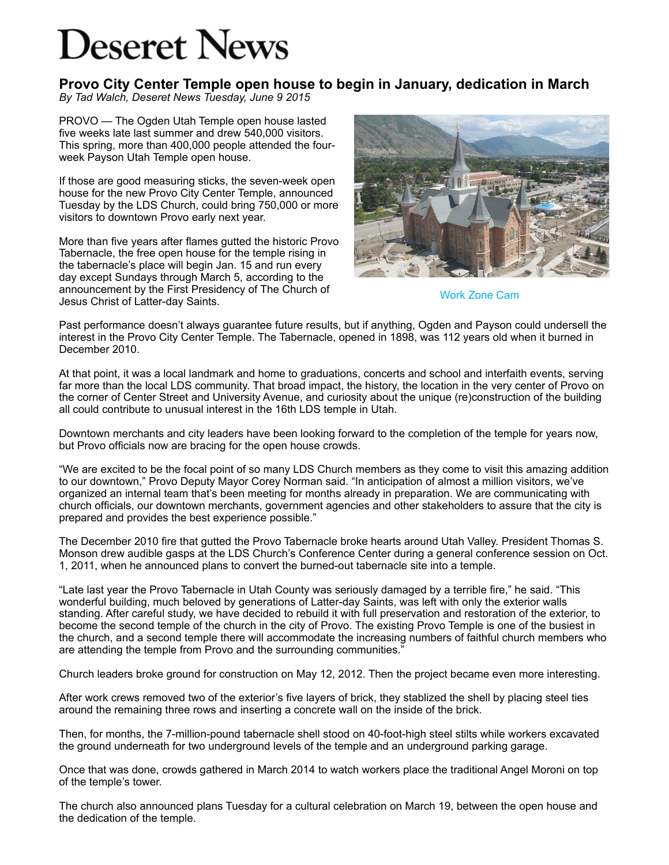## **Deseret News**

**Provo City Center Temple open house to begin in January, dedication in March** *By Tad Walch, Deseret News Tuesday, June 9 2015*

PROVO — The Ogden Utah Temple open house lasted five weeks late last summer and drew 540,000 visitors. This spring, more than 400,000 people attended the fourweek Payson Utah Temple open house.

If those are good measuring sticks, the seven-week open house for the new Provo City Center Temple, announced Tuesday by the LDS Church, could bring 750,000 or more visitors to downtown Provo early next year.

More than five years after flames gutted the historic Provo Tabernacle, the free open house for the temple rising in the tabernacle's place will begin Jan. 15 and run every day except Sundays through March 5, according to the announcement by the First Presidency of The Church of Jesus Christ of Latter-day Saints.



[Work Zone Cam](http://www.workzonecam.com/projects/churchofjesuschristoflatterdaysaints/provocitycenter/camera1)

Past performance doesn't always guarantee future results, but if anything, Ogden and Payson could undersell the interest in the Provo City Center Temple. The Tabernacle, opened in 1898, was 112 years old when it burned in December 2010.

At that point, it was a local landmark and home to graduations, concerts and school and interfaith events, serving far more than the local LDS community. That broad impact, the history, the location in the very center of Provo on the corner of Center Street and University Avenue, and curiosity about the unique (re)construction of the building all could contribute to unusual interest in the 16th LDS temple in Utah.

Downtown merchants and city leaders have been looking forward to the completion of the temple for years now, but Provo officials now are bracing for the open house crowds.

"We are excited to be the focal point of so many LDS Church members as they come to visit this amazing addition to our downtown," Provo Deputy Mayor Corey Norman said. "In anticipation of almost a million visitors, we've organized an internal team that's been meeting for months already in preparation. We are communicating with church officials, our downtown merchants, government agencies and other stakeholders to assure that the city is prepared and provides the best experience possible."

The December 2010 fire that gutted the Provo Tabernacle broke hearts around Utah Valley. President Thomas S. Monson drew audible gasps at the LDS Church's Conference Center during a general conference session on Oct. 1, 2011, when he announced plans to convert the burned-out tabernacle site into a temple.

"Late last year the Provo Tabernacle in Utah County was seriously damaged by a terrible fire," he said. "This wonderful building, much beloved by generations of Latter-day Saints, was left with only the exterior walls standing. After careful study, we have decided to rebuild it with full preservation and restoration of the exterior, to become the second temple of the church in the city of Provo. The existing Provo Temple is one of the busiest in the church, and a second temple there will accommodate the increasing numbers of faithful church members who are attending the temple from Provo and the surrounding communities."

Church leaders broke ground for construction on May 12, 2012. Then the project became even more interesting.

After work crews removed two of the exterior's five layers of brick, they stablized the shell by placing steel ties around the remaining three rows and inserting a concrete wall on the inside of the brick.

Then, for months, the 7-million-pound tabernacle shell stood on 40-foot-high steel stilts while workers excavated the ground underneath for two underground levels of the temple and an underground parking garage.

Once that was done, crowds gathered in March 2014 to watch workers place the traditional Angel Moroni on top of the temple's tower.

The church also announced plans Tuesday for a cultural celebration on March 19, between the open house and the dedication of the temple.